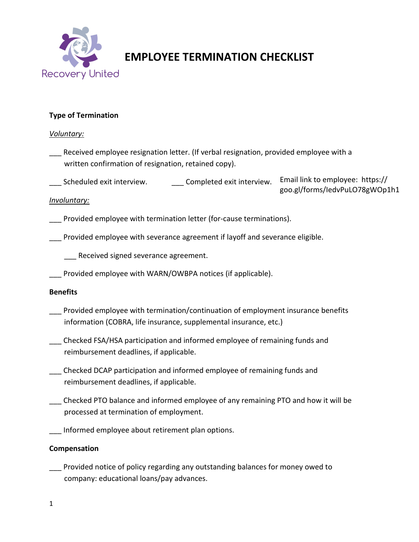

# **EMPLOYEE TERMINATION CHECKLIST**

## **Type of Termination**

#### *Voluntary:*

- Received employee resignation letter. (If verbal resignation, provided employee with a written confirmation of resignation, retained copy).
- \_\_\_ Scheduled exit interview. \_\_\_ Complete[d exit interview.](https://goo.gl/forms/IedvPuLO78gWOp1h1)  Email link to employee: https:// [goo.gl/forms/IedvPuLO78gWOp1h1](https://goo.gl/forms/IedvPuLO78gWOp1h1)

#### *Involuntary:*

- \_\_\_ Provided employee with termination letter (for-cause terminations).
- Provided employee with severance agreement if layoff and severance eligible.
	- Received signed severance agreement.
- \_\_\_ Provided employee with WARN/OWBPA notices (if applicable).

## **Benefits**

- Provided employee with termination/continuation of employment insurance benefits information (COBRA, life insurance, supplemental insurance, etc.)
- \_\_\_ Checked FSA/HSA participation and informed employee of remaining funds and reimbursement deadlines, if applicable.
- \_\_\_ Checked DCAP participation and informed employee of remaining funds and reimbursement deadlines, if applicable.
- \_\_\_ Checked PTO balance and informed employee of any remaining PTO and how it will be processed at termination of employment.
- Informed employee about retirement plan options.

## **Compensation**

Provided notice of policy regarding any outstanding balances for money owed to company: educational loans/pay advances.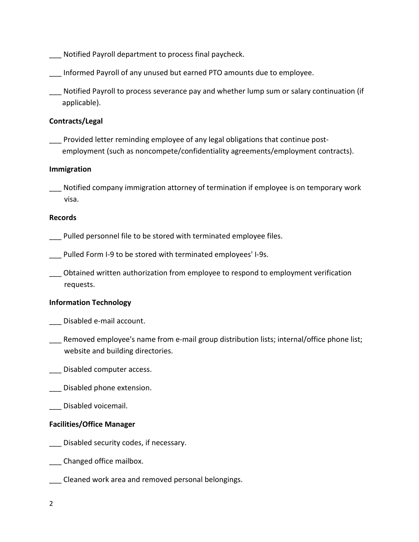- \_\_\_ Notified Payroll department to process final paycheck.
- Informed Payroll of any unused but earned PTO amounts due to employee.
- \_\_\_ Notified Payroll to process severance pay and whether lump sum or salary continuation (if applicable).

## **Contracts/Legal**

Provided letter reminding employee of any legal obligations that continue postemployment (such as noncompete/confidentiality agreements/employment contracts).

#### **Immigration**

Notified company immigration attorney of termination if employee is on temporary work visa.

#### **Records**

- Pulled personnel file to be stored with terminated employee files.
- Pulled Form I-9 to be stored with terminated employees' I-9s.
- \_\_\_ Obtained written authorization from employee to respond to employment verification requests.

#### **Information Technology**

- \_\_\_ Disabled e-mail account.
- Removed employee's name from e-mail group distribution lists; internal/office phone list; website and building directories.
- Disabled computer access.
- Disabled phone extension.
- Disabled voicemail.

#### **Facilities/Office Manager**

- \_\_\_ Disabled security codes, if necessary.
- \_\_\_ Changed office mailbox.
- \_\_\_ Cleaned work area and removed personal belongings.